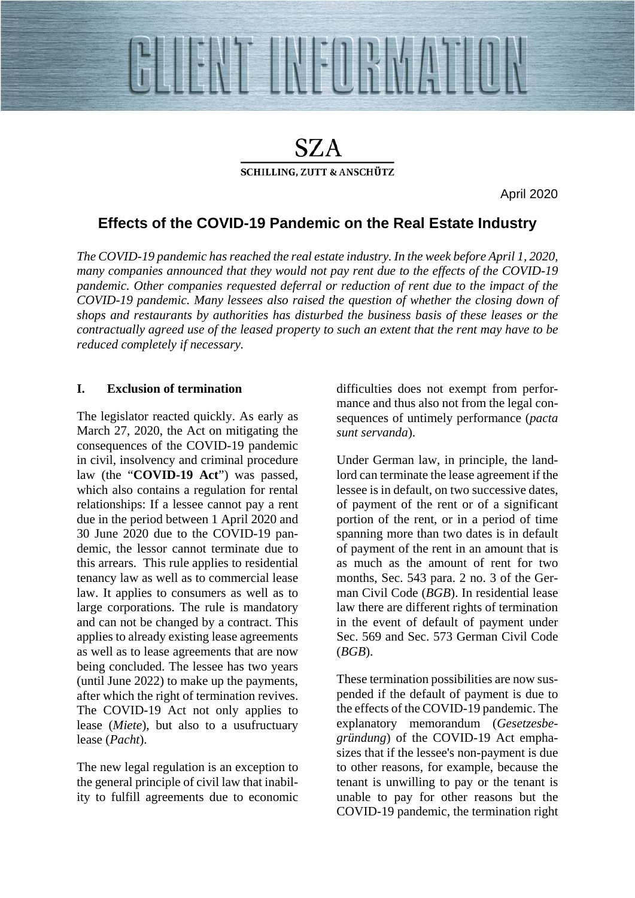

# SZA **SCHILLING, ZUTT & ANSCHÜTZ**

April 2020

## **Effects of the COVID-19 Pandemic on the Real Estate Industry**

*The COVID-19 pandemic has reached the real estate industry. In the week before April 1, 2020, many companies announced that they would not pay rent due to the effects of the COVID-19 pandemic. Other companies requested deferral or reduction of rent due to the impact of the COVID-19 pandemic. Many lessees also raised the question of whether the closing down of shops and restaurants by authorities has disturbed the business basis of these leases or the contractually agreed use of the leased property to such an extent that the rent may have to be reduced completely if necessary.* 

### **I. Exclusion of termination**

The legislator reacted quickly. As early as March 27, 2020, the Act on mitigating the consequences of the COVID-19 pandemic in civil, insolvency and criminal procedure law (the "**COVID-19 Act**") was passed, which also contains a regulation for rental relationships: If a lessee cannot pay a rent due in the period between 1 April 2020 and 30 June 2020 due to the COVID-19 pandemic, the lessor cannot terminate due to this arrears. This rule applies to residential tenancy law as well as to commercial lease law. It applies to consumers as well as to large corporations. The rule is mandatory and can not be changed by a contract. This applies to already existing lease agreements as well as to lease agreements that are now being concluded. The lessee has two years (until June 2022) to make up the payments, after which the right of termination revives. The COVID-19 Act not only applies to lease (*Miete*), but also to a usufructuary lease (*Pacht*).

The new legal regulation is an exception to the general principle of civil law that inability to fulfill agreements due to economic difficulties does not exempt from performance and thus also not from the legal consequences of untimely performance (*pacta sunt servanda*).

Under German law, in principle, the landlord can terminate the lease agreement if the lessee is in default, on two successive dates, of payment of the rent or of a significant portion of the rent, or in a period of time spanning more than two dates is in default of payment of the rent in an amount that is as much as the amount of rent for two months, Sec. 543 para. 2 no. 3 of the German Civil Code (*BGB*). In residential lease law there are different rights of termination in the event of default of payment under Sec. 569 and Sec. 573 German Civil Code (*BGB*).

These termination possibilities are now suspended if the default of payment is due to the effects of the COVID-19 pandemic. The explanatory memorandum (*Gesetzesbegründung*) of the COVID-19 Act emphasizes that if the lessee's non-payment is due to other reasons, for example, because the tenant is unwilling to pay or the tenant is unable to pay for other reasons but the COVID-19 pandemic, the termination right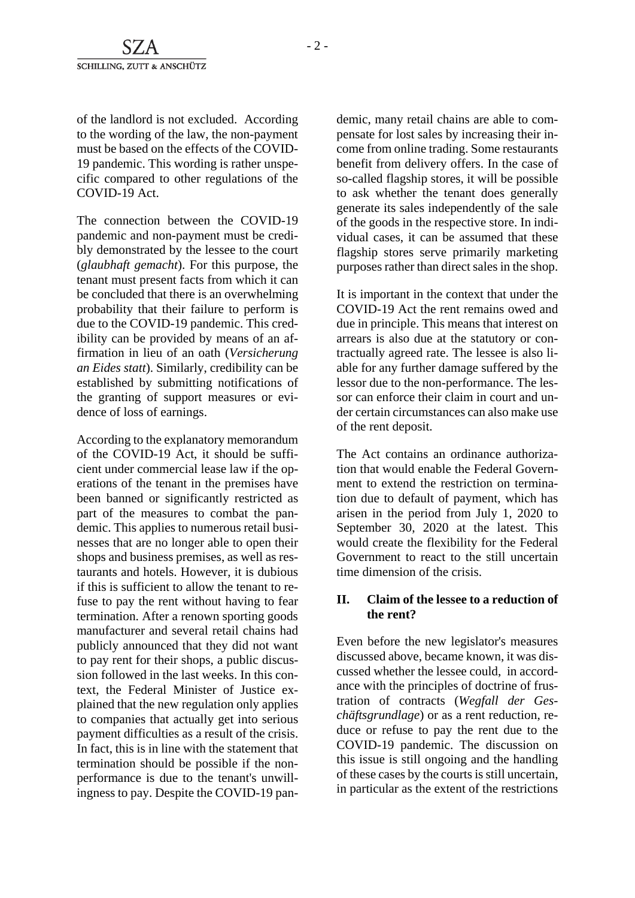of the landlord is not excluded. According to the wording of the law, the non-payment must be based on the effects of the COVID-19 pandemic. This wording is rather unspecific compared to other regulations of the COVID-19 Act.

The connection between the COVID-19 pandemic and non-payment must be credibly demonstrated by the lessee to the court (*glaubhaft gemacht*). For this purpose, the tenant must present facts from which it can be concluded that there is an overwhelming probability that their failure to perform is due to the COVID-19 pandemic. This credibility can be provided by means of an affirmation in lieu of an oath (*Versicherung an Eides statt*). Similarly, credibility can be established by submitting notifications of the granting of support measures or evidence of loss of earnings.

According to the explanatory memorandum of the COVID-19 Act, it should be sufficient under commercial lease law if the operations of the tenant in the premises have been banned or significantly restricted as part of the measures to combat the pandemic. This applies to numerous retail businesses that are no longer able to open their shops and business premises, as well as restaurants and hotels. However, it is dubious if this is sufficient to allow the tenant to refuse to pay the rent without having to fear termination. After a renown sporting goods manufacturer and several retail chains had publicly announced that they did not want to pay rent for their shops, a public discussion followed in the last weeks. In this context, the Federal Minister of Justice explained that the new regulation only applies to companies that actually get into serious payment difficulties as a result of the crisis. In fact, this is in line with the statement that termination should be possible if the nonperformance is due to the tenant's unwillingness to pay. Despite the COVID-19 pandemic, many retail chains are able to compensate for lost sales by increasing their income from online trading. Some restaurants benefit from delivery offers. In the case of so-called flagship stores, it will be possible to ask whether the tenant does generally generate its sales independently of the sale of the goods in the respective store. In individual cases, it can be assumed that these flagship stores serve primarily marketing purposes rather than direct sales in the shop.

It is important in the context that under the COVID-19 Act the rent remains owed and due in principle. This means that interest on arrears is also due at the statutory or contractually agreed rate. The lessee is also liable for any further damage suffered by the lessor due to the non-performance. The lessor can enforce their claim in court and under certain circumstances can also make use of the rent deposit.

The Act contains an ordinance authorization that would enable the Federal Government to extend the restriction on termination due to default of payment, which has arisen in the period from July 1, 2020 to September 30, 2020 at the latest. This would create the flexibility for the Federal Government to react to the still uncertain time dimension of the crisis.

#### **II. Claim of the lessee to a reduction of the rent?**

Even before the new legislator's measures discussed above, became known, it was discussed whether the lessee could, in accordance with the principles of doctrine of frustration of contracts (*Wegfall der Geschäftsgrundlage*) or as a rent reduction, reduce or refuse to pay the rent due to the COVID-19 pandemic. The discussion on this issue is still ongoing and the handling of these cases by the courts is still uncertain, in particular as the extent of the restrictions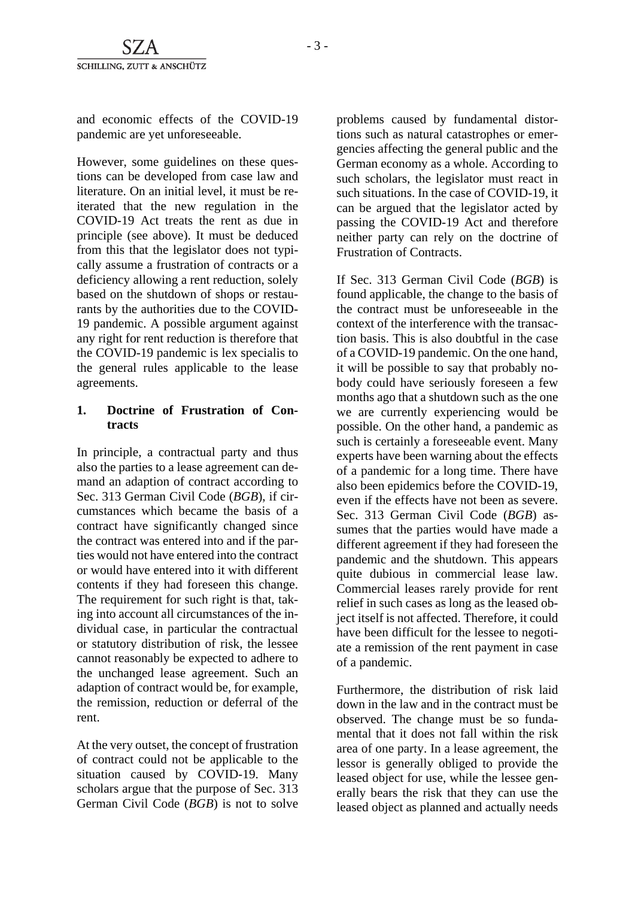and economic effects of the COVID-19 pandemic are yet unforeseeable.

However, some guidelines on these questions can be developed from case law and literature. On an initial level, it must be reiterated that the new regulation in the COVID-19 Act treats the rent as due in principle (see above). It must be deduced from this that the legislator does not typically assume a frustration of contracts or a deficiency allowing a rent reduction, solely based on the shutdown of shops or restaurants by the authorities due to the COVID-19 pandemic. A possible argument against any right for rent reduction is therefore that the COVID-19 pandemic is lex specialis to the general rules applicable to the lease agreements.

#### **1. Doctrine of Frustration of Contracts**

In principle, a contractual party and thus also the parties to a lease agreement can demand an adaption of contract according to Sec. 313 German Civil Code (*BGB*), if circumstances which became the basis of a contract have significantly changed since the contract was entered into and if the parties would not have entered into the contract or would have entered into it with different contents if they had foreseen this change. The requirement for such right is that, taking into account all circumstances of the individual case, in particular the contractual or statutory distribution of risk, the lessee cannot reasonably be expected to adhere to the unchanged lease agreement. Such an adaption of contract would be, for example, the remission, reduction or deferral of the rent.

At the very outset, the concept of frustration of contract could not be applicable to the situation caused by COVID-19. Many scholars argue that the purpose of Sec. 313 German Civil Code (*BGB*) is not to solve problems caused by fundamental distortions such as natural catastrophes or emergencies affecting the general public and the German economy as a whole. According to such scholars, the legislator must react in such situations. In the case of COVID-19, it can be argued that the legislator acted by passing the COVID-19 Act and therefore neither party can rely on the doctrine of Frustration of Contracts.

If Sec. 313 German Civil Code (*BGB*) is found applicable, the change to the basis of the contract must be unforeseeable in the context of the interference with the transaction basis. This is also doubtful in the case of a COVID-19 pandemic. On the one hand, it will be possible to say that probably nobody could have seriously foreseen a few months ago that a shutdown such as the one we are currently experiencing would be possible. On the other hand, a pandemic as such is certainly a foreseeable event. Many experts have been warning about the effects of a pandemic for a long time. There have also been epidemics before the COVID-19, even if the effects have not been as severe. Sec. 313 German Civil Code (*BGB*) assumes that the parties would have made a different agreement if they had foreseen the pandemic and the shutdown. This appears quite dubious in commercial lease law. Commercial leases rarely provide for rent relief in such cases as long as the leased object itself is not affected. Therefore, it could have been difficult for the lessee to negotiate a remission of the rent payment in case of a pandemic.

Furthermore, the distribution of risk laid down in the law and in the contract must be observed. The change must be so fundamental that it does not fall within the risk area of one party. In a lease agreement, the lessor is generally obliged to provide the leased object for use, while the lessee generally bears the risk that they can use the leased object as planned and actually needs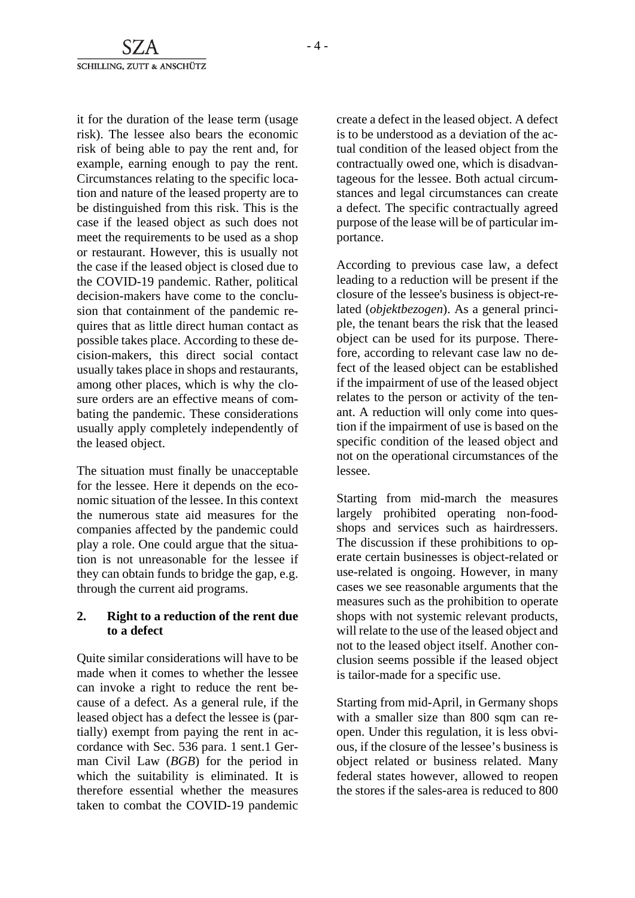it for the duration of the lease term (usage risk). The lessee also bears the economic risk of being able to pay the rent and, for example, earning enough to pay the rent. Circumstances relating to the specific location and nature of the leased property are to be distinguished from this risk. This is the case if the leased object as such does not meet the requirements to be used as a shop or restaurant. However, this is usually not the case if the leased object is closed due to the COVID-19 pandemic. Rather, political decision-makers have come to the conclusion that containment of the pandemic requires that as little direct human contact as possible takes place. According to these decision-makers, this direct social contact usually takes place in shops and restaurants, among other places, which is why the closure orders are an effective means of combating the pandemic. These considerations usually apply completely independently of the leased object.

The situation must finally be unacceptable for the lessee. Here it depends on the economic situation of the lessee. In this context the numerous state aid measures for the companies affected by the pandemic could play a role. One could argue that the situation is not unreasonable for the lessee if they can obtain funds to bridge the gap, e.g. through the current aid programs.

#### **2. Right to a reduction of the rent due to a defect**

Quite similar considerations will have to be made when it comes to whether the lessee can invoke a right to reduce the rent because of a defect. As a general rule, if the leased object has a defect the lessee is (partially) exempt from paying the rent in accordance with Sec. 536 para. 1 sent.1 German Civil Law (*BGB*) for the period in which the suitability is eliminated. It is therefore essential whether the measures taken to combat the COVID-19 pandemic

create a defect in the leased object. A defect is to be understood as a deviation of the actual condition of the leased object from the contractually owed one, which is disadvantageous for the lessee. Both actual circumstances and legal circumstances can create a defect. The specific contractually agreed purpose of the lease will be of particular importance.

According to previous case law, a defect leading to a reduction will be present if the closure of the lessee's business is object-related (*objektbezogen*). As a general principle, the tenant bears the risk that the leased object can be used for its purpose. Therefore, according to relevant case law no defect of the leased object can be established if the impairment of use of the leased object relates to the person or activity of the tenant. A reduction will only come into question if the impairment of use is based on the specific condition of the leased object and not on the operational circumstances of the lessee.

Starting from mid-march the measures largely prohibited operating non-foodshops and services such as hairdressers. The discussion if these prohibitions to operate certain businesses is object-related or use-related is ongoing. However, in many cases we see reasonable arguments that the measures such as the prohibition to operate shops with not systemic relevant products, will relate to the use of the leased object and not to the leased object itself. Another conclusion seems possible if the leased object is tailor-made for a specific use.

Starting from mid-April, in Germany shops with a smaller size than 800 sqm can reopen. Under this regulation, it is less obvious, if the closure of the lessee's business is object related or business related. Many federal states however, allowed to reopen the stores if the sales-area is reduced to 800